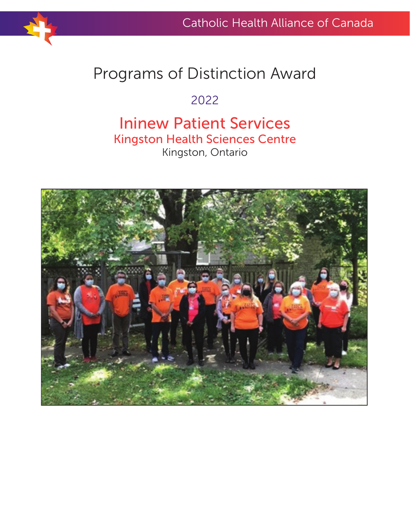

# Programs of Distinction Award

## 2022

## Ininew Patient Services Kingston Health Sciences Centre Kingston, Ontario